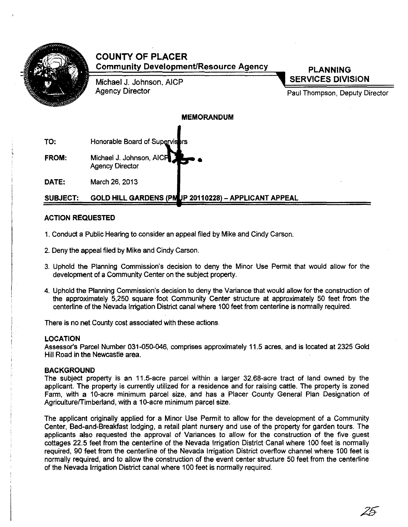

# COUNTY OF PLACER Community Development/Resource Agency

Michael J. Johnson, AICP Agency Director

PLANNING SERVICES DIVISION

Paul Thompson, Deputy Director

# MEMORANDUM

TO: Honorable Board of Supervisi

FROM: Michael J. Johnson, AICP Agency Director •

DATE: March 26, 2013

# SUBJECT: GOLD HILL GARDENS (PMUP 20110228) - APPLICANT APPEAL

# ACTION REQUESTED

- 1. Conduct a Public Hearing to consider an appeal filed by Mike and Cindy Carson.
- 2. Deny the appeal filed by Mike and Cindy Carson.
- 3. Uphold the Planning Commission's decision to deny the Minor Use Permit that would allow for the development of a Community Center on the subject property.
- 4. Uphold the Planning Commission's decision to deny the Variance that would allow for the construction of the approximately 5,250 square foot Community Center structure at approximately 50 feet from the centerline of the Nevada Irrigation District canal where 100 feet from centerline is normally required.

There is no net County cost associated with these actions.

# **LOCATION**

Assessor's Parcel Number 031-Q5D-046, comprises approximately 11.5 acres, and is located at 2325 Gold Hill Road in the Newcastle area.

# **BACKGROUND**

The subject property is an 11.5-acre parcel within a larger 32.68-acre tract of land owned by the applicant. The property is currently utilized for a residence and for raising cattle. The property is zoned Farm, with a 10-acre minimum parcel size, and has a Placer County General Plan Designation of Agriculture/Timberland, with a 10-acre minimum parcel size.

The applicant originally applied for a Minor Use Permit to allow for the development of a Community Center, Bed-and-Breakfast lodging, a retail plant nursery and use of the property for garden tours. The applicants also requested the approval of Variances to allow for the construction of the five guest cottages 22.5 feet from the centerline of the Nevada Irrigation District Canal where 100 feet is normally required, 90 feet from the centerline of the Nevada Irrigation District overflow channel where 100 feet is normally required, and to allow the construction of the event center structure 50 feet from the centerline of the Nevada Irrigation District canal where 100 feet is normally required.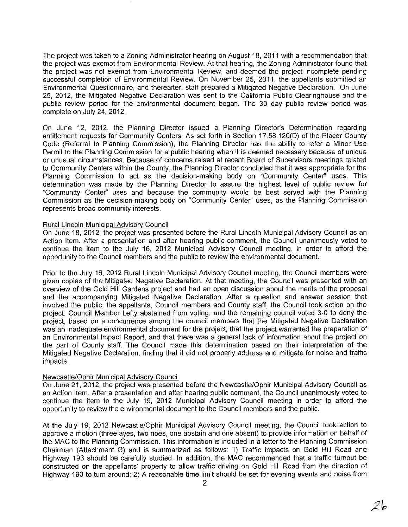The project was taken to a Zoning Administrator hearing on August 18, 2011 with a recommendation that the project was exempt from Environmental Review. At that hearing, the Zoning Administrator found that the project was not exempt from Environmental Review, and deemed the project incomplete pending successful completion of Environmental Review. On November 25, 2011, the appellants submitted an Environmental Questionnaire, and thereafter, staff prepared a Mitigated Negative Declaration. On June 25, 2012, the Mitigated Negative Declaration was sent to the California Public Clearinghouse and the public review period for the environmental document began. The 30 day public review period was complete on July 24,2012.

On June 12, 2012, the Planning Director issued a Planning Director's Determination regarding entitlement requests for Community Centers. As set forth in Section 17.58.120(0) of the Placer County Code (Referral to Planning Commission), the Planning Director has the ability to refer a Minor Use Permit to the Planning Commission for a public hearing when it is deemed necessary because of unique or unusual circumstances. Because of concerns raised at recent Board of Supervisors meetings related to Community Centers within the County, the Planning Director concluded that it was appropriate for the Planning Commission to act as the decision-making body on "Community Center" uses. This determination was made by the Planning Director to assure the highest level of public review for "Community Center" uses and because the community would be best served with the Planning Commission as the decision-making body on "Community Center" uses, as the Planning Commission represents broad community interests.

# Rural Lincoln Municipal Advisorv Council

On June 18, 2012, the project was presented before the Rural Lincoln Municipal Advisory Council as an Action Item. After a presentation and after hearing public comment, the Council unanimously voted to continue the item to the July 16, 2012 Municipal Advisory Council meeting, in order to afford the opportunity to the Council members and the public to review the environmental document.

Prior to the July 16, 2012 Rural Lincoln Municipal Advisory Council meeting, the Council members were given copies of the Mitigated Negative Declaration. At that meeting, the Council was presented with an overview of the Gold Hill Gardens project and had an open discussion about the merits of the proposal and the accompanying Mitigated Negative Declaration. After a question and answer session that involved the public, the appellants, Council members and County staff, the Council took action on the project. Council Member Lefty abstained from voting, and the remaining council voted 3-0 to deny the project, based on a concurrence among the council members that the Mitigated Negative Declaration was an inadequate environmental document for the project, that the project warranted the preparation of an Environmental Impact Report, and that there was a general lack of information about the project on the part of County staff. The Council made this determination based on their interpretation of the Mitigated Negative Declaration, finding that it did not properly address and mitigate for noise and traffic impacts.

# Newcastle/Ophir Municipal Advisory Council

On June 21, 2012, the project was presented before the Newcastle/Ophir Municipal Advisory Council as an Action Item. After a presentation and after hearing public comment, the Council unanimously voted to continue the item to the July 19, 2012 Municipal Advisory Council meeting in order to afford the opportunity to review the environmental document to the Council members and the public.

At the July 19, 2012 Newcastle/Ophir Municipal Advisory Council meeting, the Council took action to approve a motion (three ayes, two noes, one abstain and one absent) to provide information on behalf of the MAC to the Planning Commission. This information is included in a letter to the Planning Commission Chairman (Attachment G) and is summarized as follows 1) Traffic impacts on Gold Hill Road and Highway 193 should be carefully studied. In addition, the MAC recommended that a traffic turnout be constructed on the appellants' property to allow traffic driving on Gold Hill Road from the direction of Highway 193 to turn around; 2) A reasonable time limit should be set for evening events and noise from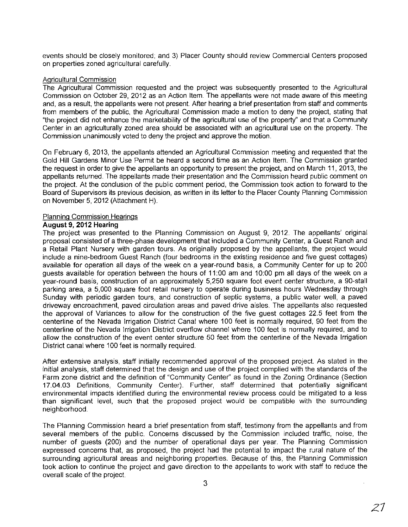events should be closely monitored; and 3) Placer County should review Commercial Centers proposed on properties zoned agricultural carefully.

#### Agricultural Commission

The Agricultural Commission requested and the project was subsequently presented to the Agricultural Commission on October 29, 2012 as an Action Item. The appellants were not made aware of this meeting and, as a result, the appellants were not present. After hearing a brief presentation from staff and comments from members of the public, the Agricultural Commission made a motion to deny the project, stating that "the project did not enhance the marketability of the agricultural use of the property" and that a Community Center in an agriculturally zoned area should be associated with an agricultural use on the property. The Commission unanimously voted to deny the project and approve the motion

On February 6, 2013, the appellants attended an Agricultural Commission meeting and requested that the Gold Hill Gardens Minor Use Permit be heard a second time as an Action Item. The Commission granted the request in order to give the appellants an opportunity to present the project, and on March 11, 2013, the appellants returned. The appellants made their presentation and the Commission heard public comment on the project. At the conclusion of the public comment period, the Commission took action to forward to the Board of Supervisors its previous decision, as written in its letter to the Placer County Planning Commission on November 5, 2012 (Attachment H).

# Planning Commission Hearings

# August 9, **2012** Hearing

The project was presented to the Planning Commission on August 9, 2012. The appellants' original proposal consisted of a three-phase development that included a Community Center, a Guest Ranch and a Retail Plant Nursery with garden tours. As originally proposed by the appellants, the project would include a nine-bedroom Guest Ranch (four bedrooms in the existing residence and five guest cottages) available for operation all days of the week on a year-round basis, a Community Center for up to 200 guests available for operation between the hours of 11 :00 am and 10:00 pm all days of the week on a year-round basis, construction of an approximately 5,250 square foot event center structure, a 90-stall parking area, a 5,000 square foot retail nursery to operate during business hours Wednesday through Sunday with periodic garden tours, and construction of septic systems, a public water well, a paved driveway encroachment, paved circulation areas and paved drive aisles. The appellants also requested the approval of Variances to allow for the construction of the five guest cottages 22.5 feet from the centerline of the Nevada Irrigation District Canal where 100 feet is normally required, 90 feet from the centerline of the Nevada Irrigation District overfow channel where 100 feet is normally required, and to allow the construction of the event center structure 50 feet from the centerline of the Nevada Irrigation District canal where 100 feet is normally required.

After extensive analysis, staff initially recommended approval of the proposed project. As stated in the initial analysis, staff determined that the design and use of the project complied with the standards of the Farm zone district and the definition of "Community Center" as found in the Zoning Ordinance (Section 17.04.03 Definitions, Community Center). Further, staff determined that potentially significant environmental impacts identified during the environmental review process could be mitigated to a less than significant level, such that the proposed project would be compatible with the surrounding neighborhood.

The Planning Commission heard a brief presentation from staff, testimony from the appellants and from several members of the public. Concerns discussed by the Commission included traffic, noise, the number of guests (200) and the number of operational days per year. The Planning Commission expressed concerns that, as proposed, the project had the potential to impact the rural nature of the surrounding agricultural areas and neighboring properties. Because of this, the Planning Commission took action to continue the project and gave direction to the appellants to work with staff to reduce the overall scale of the project.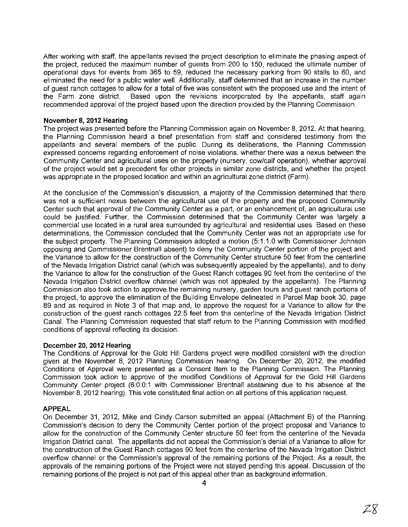After working with staff, the appellants revised the project description to eliminate the phasing aspect of the project, reduced the maximum number of guests from 200 to 150, reduced the ultimate number of operational days for events from 365 to 59, reduced the necessary parking from 90 stalls to 60, and eliminated the need for a public water well. Additionally, staff determined that an increase in the number of guest ranch cottages to allow for a total of five was consistent with the proposed use and the intent of the<br>the Farm zone district. Based upon the revisions incorporated by the appellants, staff again Based upon the revisions incorporated by the appellants, staff again recommended approval of the project based upon the direction provided by the Planning Commission.

# November 8,2012 Hearing

The project was presented before the Planning Commission again on November 8, 2012. At that hearing, the Planning Commission heard a brief presentation from staff and considered testimony from the appellants and several members of the public. During its deliberations, the Planning Commission expressed concerns regarding enforcement of noise violations, whether there was a nexus between the Community Center and agricultural uses on the property (nursery, cow/calf operation), whether approval of the project would set a precedent for other projects in similar zone districts, and whether the project was appropriate in the proposed location and within an agricultural zone district (Farm).

At the conclusion of the Commission's discussion, a majority of the Commission determined that there was not a sufficient nexus between the agricultural use of the property and the proposed Community Center such that approval of the Community Center as a part, or an enhancement of, an agricultural use could be justified. Further, the Commission determined that the Community Center was largely a commercial use located in a rural area surrounded by agricultural and residential uses. Based on these determinations, the Commission concluded that the Community Center was not an appropriate use for the subject property. The Planning Commission adopted a motion (5: 11:0 with Commissioner Johnson opposing and Commissioner Brentnall absent) to deny the Community Center portion of the project and the Variance to allow for the construction of the Community Center structure 50 feet from the centerline of the Nevada Irrigation District canal (which was sUbsequently appealed by the appellants), and to deny the Variance to allow for the construction of the Guest Ranch cottages 90 feet from the centerline of the Nevada Irrigation District overflow channel (which was not appealed by the appellants). The Planning Commission also took action to approve the remaining nursery, garden tours and guest ranch portions of the project, to approve the elimination of the Building Envelope delineated in Parcel Map book 30, page 89 and as required in Note 3 of that map and, to approve the request for a Variance to allow for the construction of the guest ranch cottages 22.5 feet from the centerline of the Nevada Irrigation District Canal. The Planning Commission requested that staff return to the Planning Commission with modified conditions of approval reflecting its decision.

# December 20, 2012 Hearing

The Conditions of Approval for the Gold Hill Gardens project were modified consistent with the direction given at the November 8, 2012 Planning Commission hearing. On December 20, 2012, the modified Conditions of Approval were presented as a Consent Item to the Planning Commission. The Planning Commission took action to approve of the modified Conditions of Approval for the Gold Hill Gardens Community Center project (6:0:0:1 with Commissioner Brentnall abstaining due to his absence at the November 8, 2012 hearing). This vote constituted final action on all portions of this application request.

# APPEAL

On December 31, 2012, Mike and Cindy Carson submitted an appeal (Attachment B) of the Planning Commission's decision to deny the Community Center portion of the project proposal and Variance to allow for the construction of the Community Center structure 50 feet from the centerline of the Nevada Irrigation District canal. The appellants did not appeal the Commission's denial of a Variance to allow for the construction of the Guest Ranch cottages 90 feet from the centerline of the Nevada Irrigation District overflow channel or the Commission's approval of the remaining portions of the Project. As a result, the approvals of the remaining portions of the Project were not stayed pending this appeal. Discussion of the remaining portions of the project is not part of this appeal other than as background information.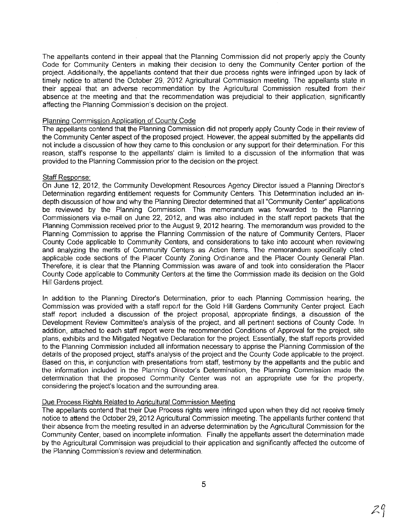The appellants contend in their appeal that the Planning Commission did not properly apply the County Code for Community Centers in making their decision to deny the Community Center portion of the project. Additionally, the appellants contend that their due process rights were infringed upon by lack of timely notice to attend the October 29, 2012 Agricultural Commission meeting. The appellants state in their appeal that an adverse recommendation by the Agricultural Commission resulted from their absence at the meeting and that the recommendation was prejudicial to their application, significantly affecting the Planning Commission's decision on the project.

#### Planning Commission Application of County Code

The appellants contend that the Planning Commission did not properly apply County Code in their review of the Community Center aspect of the proposed project. However, the appeal submitted by the appellants did not include a discussion of how they came to this conclusion or any support for their determination. For this reason, staffs response to the appellants' claim is limited to a discussion of the information that was provided to the Planning Commission prior to the decision on the project

#### Staff Response:

On June 12, 2012, the Community Development Resources Agency Director issued a Planning Director's Determination regarding entitlement requests for Community Centers. This Determination included an indepth discussion of how and why the Planning Director determined that all "Community Center" applications be reviewed by the Planning Commission. This memorandum was forwarded to the Planning Commissioners via e-mail on June 22, 2012, and was also included in the staff report packets that the Planning Commission received prior to the August 9, 2012 hearing. The memorandum was provided to the Planning Commission to apprise the Planning Commission of the nature of Community Centers, Placer County Code applicable to Community Centers, and considerations to take into account when reviewing and analyzing the merits of Community Centers as Action Items. The memorandum specifically cited applicable code sections of the Placer County Zoning Ordinance and the Placer County General Plan. Therefore, it is clear that the Planning Commission was aware of and took into consideration the Placer County Code applicable to Community Centers at the time the Commission made its decision on the Gold Hill Gardens project.

In addition to the Planning Director's Determination, prior to each Planning Commission hearing, the Commission was provided with a staff report for the Gold Hill Gardens Community Center project. Each staff report included a discussion of the project proposal, appropriate findings, a discussion of the Development Review Committee's analysis of the project, and all pertinent sections of County Code. In addition, attached to each staff report were the recommended Conditions of Approval for the project, site plans, exhibits and the Mitigated Negative Declaration for the project. Essentially, the staff reports provided to the Planning Commission included all information necessary to apprise the Planning Commission of the details of the proposed project, staffs analysis of the project and the County Code applicable to the project Based on this, in conjunction with presentations from staff, testimony by the appellants and the public and the information included in the Planning Director's Determination, the Planning Commission made the determination that the proposed Community Center was not an appropriate use for the property, considering the project's location and the surrounding area.

# Due Process Rights Related to Agricultural Commission Meeting

The appellants contend that their Due Process rights were infringed upon when they did not receive timely notice to attend the October 29,2012 Agricultural Commission meeting. The appellants further contend that their absence from the meeting resulted in an adverse determination by the Agricultural Commission for the Community Center, based on incomplete information. Finally the appellants assert the determination made by the Agricultural Commission was prejudicial to their application and significantly affected the outcome of the Planning Commission's review and determination.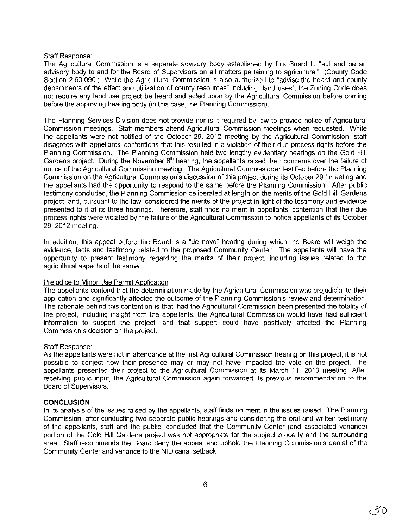# Staff Response:

The Agricultural Commission is a separate advisory body established by this Board to "act and be an advisory body to and for the Board of Supervisors on all matters pertaining to agriculture." (County Code Section 2.60.090.) While the Agricultural Commission is also authorized to "advise the board and county departments of the effect and utilization of county resources" including "land uses", the Zoning Code does not require any land use project be heard and acted upon by the Agricultural Commission before coming before the approving hearing body (in this case, the Planning Commission).

The Planning Services Division does not provide nor is it required by law to provide notice of Agricultural Commission meetings. Staff members attend Agricultural Commission meetings when requested. While the appellants were not notified of the October 29, 2012 meeting by the Agricultural Commission, staff disagrees with appellants' contentions that this resulted in a violation of their due process rights before the Planning Commission. The Planning Commission held two lengthy evidentiary hearings on the Gold Hill Gardens project. During the November  $8<sup>th</sup>$  hearing, the appellants raised their concerns over the failure of notice of the Agricultural Commission meeting. The Agricultural Commissioner testified before the Planning Commission on the Agricultural Commission's discussion of this project during its October 29<sup>th</sup> meeting and the appellants had the opportunity to respond to the same before the Planning Commission. After public testimony concluded, the Planning Commission deliberated at length on the merits of the Gold Hill Gardens project, and, pursuant to the law, considered the merits of the project in light of the testimony and evidence presented to it at its three hearings. Therefore, staff finds no merit in appellants' contention that their due process rights were violated by the failure of the Agricultural Commission to notice appellants of its October 29, 2012 meeting.

In addition, this appeal before the Board is a "de novo" hearing during which the Board will weigh the evidence, facts and testimony related to the proposed Community Center. The appellants will have the opportunity to present testimony regarding the merits of their project, including issues related to the agricultural aspects of the same.

# Prejudice to Minor Use Permit Application

The appellants contend that the determination made by the Agricultural Commission was prejudicial to their application and significantly affected the outcome of the Planning Commission's review and determination. The rationale behind this contention is that, had the Agricultural Commission been presented the totality of the project, including insight from the appellants, the Agricultural Commission would have had sufficient information to support the project, and that support could have positively affected the Planning Commission's decision on the project.

# Staff Response:

As the appellants were not in attendance at the first Agricultural Commission hearing on this project, it is not possible to conject how their presence may or may not have impacted the vote on the project. The appellants presented their project to the Agricultural Commission at its March **11,** 2013 meeting. After receiving public input, the Agricultural Commission again forwarded its previous recommendation to the Board of Supervisors.

# **CONCLUSION**

In its analysis of the issues raised by the appellants, staff finds no merit in the issues raised. The Planning Commission, after conducting two separate public hearings and considering the oral and written testimony of the appellants, staff and the public, concluded that the Community Center (and associated variance) portion of the Gold Hill Gardens project was not appropriate for the subject property and the surrounding area. Staff recommends the Board deny the appeal and uphold the Planning Commission's denial of the Community Center and variance to the NID canal setback